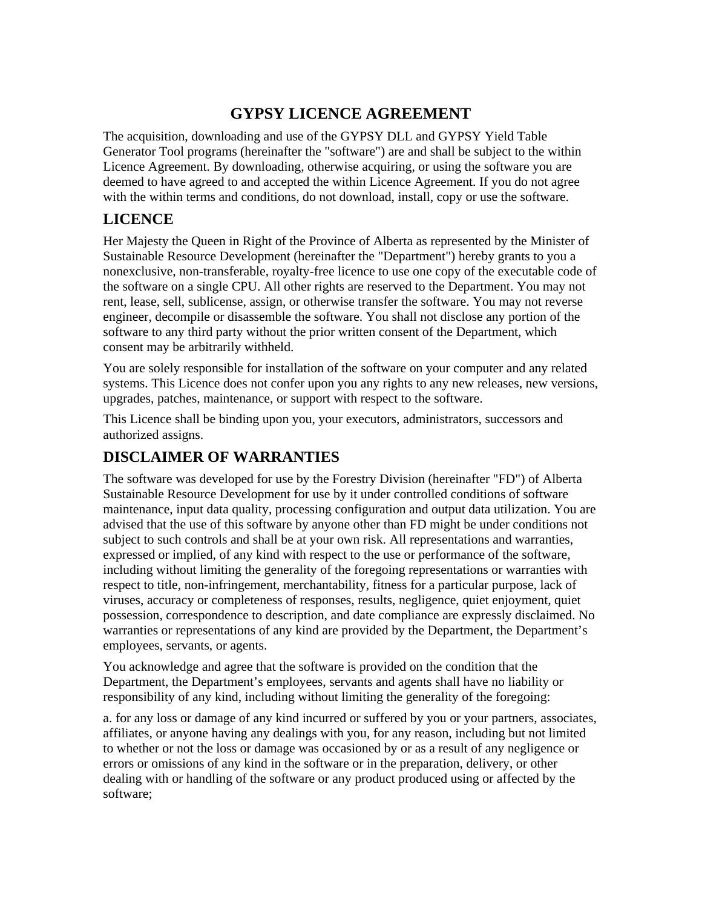### **GYPSY LICENCE AGREEMENT**

The acquisition, downloading and use of the GYPSY DLL and GYPSY Yield Table Generator Tool programs (hereinafter the "software") are and shall be subject to the within Licence Agreement. By downloading, otherwise acquiring, or using the software you are deemed to have agreed to and accepted the within Licence Agreement. If you do not agree with the within terms and conditions, do not download, install, copy or use the software.

### **LICENCE**

Her Majesty the Queen in Right of the Province of Alberta as represented by the Minister of Sustainable Resource Development (hereinafter the "Department") hereby grants to you a nonexclusive, non-transferable, royalty-free licence to use one copy of the executable code of the software on a single CPU. All other rights are reserved to the Department. You may not rent, lease, sell, sublicense, assign, or otherwise transfer the software. You may not reverse engineer, decompile or disassemble the software. You shall not disclose any portion of the software to any third party without the prior written consent of the Department, which consent may be arbitrarily withheld.

You are solely responsible for installation of the software on your computer and any related systems. This Licence does not confer upon you any rights to any new releases, new versions, upgrades, patches, maintenance, or support with respect to the software.

This Licence shall be binding upon you, your executors, administrators, successors and authorized assigns.

### **DISCLAIMER OF WARRANTIES**

The software was developed for use by the Forestry Division (hereinafter "FD") of Alberta Sustainable Resource Development for use by it under controlled conditions of software maintenance, input data quality, processing configuration and output data utilization. You are advised that the use of this software by anyone other than FD might be under conditions not subject to such controls and shall be at your own risk. All representations and warranties, expressed or implied, of any kind with respect to the use or performance of the software, including without limiting the generality of the foregoing representations or warranties with respect to title, non-infringement, merchantability, fitness for a particular purpose, lack of viruses, accuracy or completeness of responses, results, negligence, quiet enjoyment, quiet possession, correspondence to description, and date compliance are expressly disclaimed. No warranties or representations of any kind are provided by the Department, the Department's employees, servants, or agents.

You acknowledge and agree that the software is provided on the condition that the Department, the Department's employees, servants and agents shall have no liability or responsibility of any kind, including without limiting the generality of the foregoing:

a. for any loss or damage of any kind incurred or suffered by you or your partners, associates, affiliates, or anyone having any dealings with you, for any reason, including but not limited to whether or not the loss or damage was occasioned by or as a result of any negligence or errors or omissions of any kind in the software or in the preparation, delivery, or other dealing with or handling of the software or any product produced using or affected by the software;